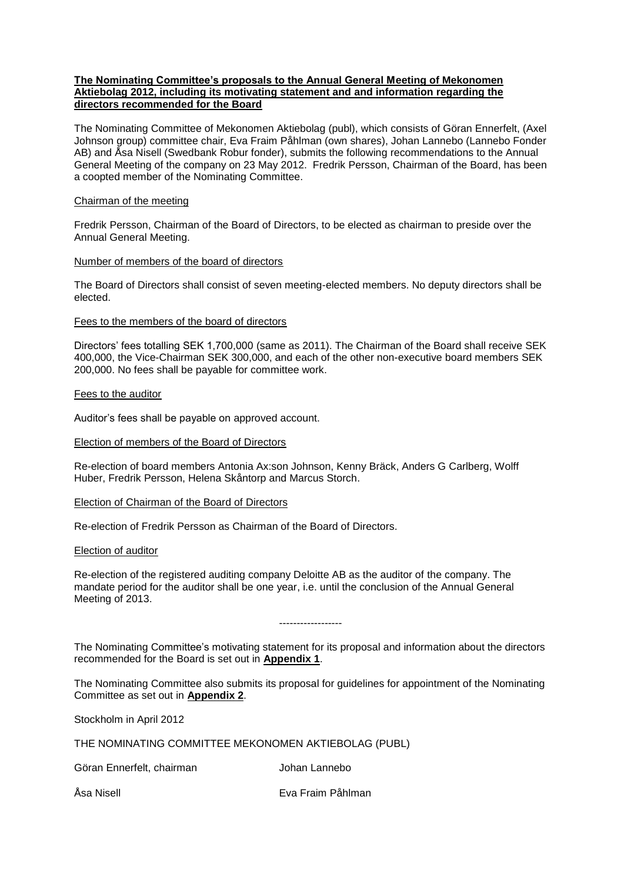## **The Nominating Committee's proposals to the Annual General Meeting of Mekonomen Aktiebolag 2012, including its motivating statement and and information regarding the directors recommended for the Board**

The Nominating Committee of Mekonomen Aktiebolag (publ), which consists of Göran Ennerfelt, (Axel Johnson group) committee chair, Eva Fraim Påhlman (own shares), Johan Lannebo (Lannebo Fonder AB) and Åsa Nisell (Swedbank Robur fonder), submits the following recommendations to the Annual General Meeting of the company on 23 May 2012. Fredrik Persson, Chairman of the Board, has been a coopted member of the Nominating Committee.

## Chairman of the meeting

Fredrik Persson, Chairman of the Board of Directors, to be elected as chairman to preside over the Annual General Meeting.

## Number of members of the board of directors

The Board of Directors shall consist of seven meeting-elected members. No deputy directors shall be elected.

#### Fees to the members of the board of directors

Directors' fees totalling SEK 1,700,000 (same as 2011). The Chairman of the Board shall receive SEK 400,000, the Vice-Chairman SEK 300,000, and each of the other non-executive board members SEK 200,000. No fees shall be payable for committee work.

## Fees to the auditor

Auditor's fees shall be payable on approved account.

## Election of members of the Board of Directors

Re-election of board members Antonia Ax:son Johnson, Kenny Bräck, Anders G Carlberg, Wolff Huber, Fredrik Persson, Helena Skåntorp and Marcus Storch.

#### Election of Chairman of the Board of Directors

Re-election of Fredrik Persson as Chairman of the Board of Directors.

#### Election of auditor

Re-election of the registered auditing company Deloitte AB as the auditor of the company. The mandate period for the auditor shall be one year, i.e. until the conclusion of the Annual General Meeting of 2013.

The Nominating Committee's motivating statement for its proposal and information about the directors recommended for the Board is set out in **Appendix 1**.

------------------

The Nominating Committee also submits its proposal for guidelines for appointment of the Nominating Committee as set out in **Appendix 2**.

Stockholm in April 2012

THE NOMINATING COMMITTEE MEKONOMEN AKTIEBOLAG (PUBL)

Göran Ennerfelt, chairman and Johan Lannebo

Åsa Nisell Eva Fraim Påhlman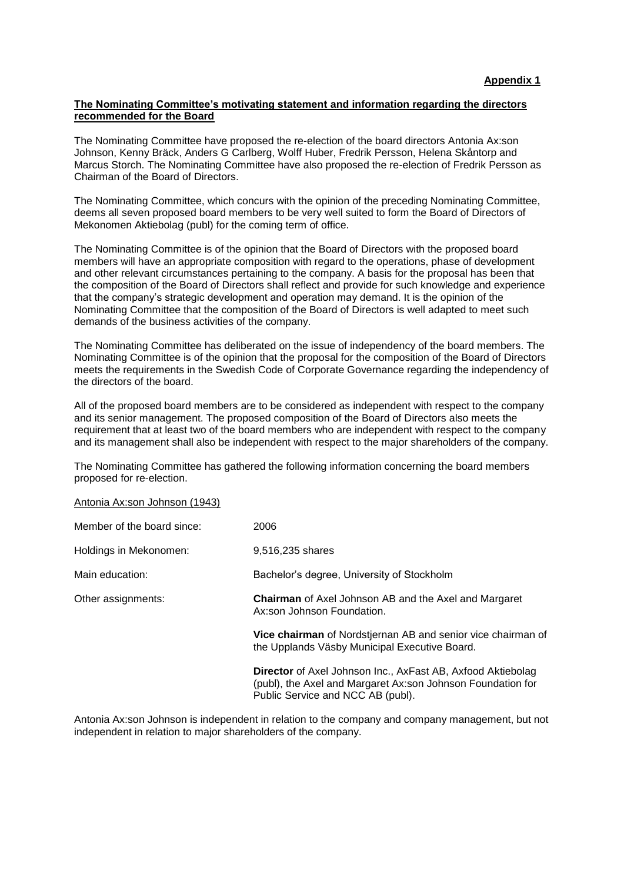## **The Nominating Committee's motivating statement and information regarding the directors recommended for the Board**

The Nominating Committee have proposed the re-election of the board directors Antonia Ax:son Johnson, Kenny Bräck, Anders G Carlberg, Wolff Huber, Fredrik Persson, Helena Skåntorp and Marcus Storch. The Nominating Committee have also proposed the re-election of Fredrik Persson as Chairman of the Board of Directors.

The Nominating Committee, which concurs with the opinion of the preceding Nominating Committee, deems all seven proposed board members to be very well suited to form the Board of Directors of Mekonomen Aktiebolag (publ) for the coming term of office.

The Nominating Committee is of the opinion that the Board of Directors with the proposed board members will have an appropriate composition with regard to the operations, phase of development and other relevant circumstances pertaining to the company. A basis for the proposal has been that the composition of the Board of Directors shall reflect and provide for such knowledge and experience that the company's strategic development and operation may demand. It is the opinion of the Nominating Committee that the composition of the Board of Directors is well adapted to meet such demands of the business activities of the company.

The Nominating Committee has deliberated on the issue of independency of the board members. The Nominating Committee is of the opinion that the proposal for the composition of the Board of Directors meets the requirements in the Swedish Code of Corporate Governance regarding the independency of the directors of the board.

All of the proposed board members are to be considered as independent with respect to the company and its senior management. The proposed composition of the Board of Directors also meets the requirement that at least two of the board members who are independent with respect to the company and its management shall also be independent with respect to the major shareholders of the company.

The Nominating Committee has gathered the following information concerning the board members proposed for re-election.

Antonia Ax:son Johnson (1943)

| Member of the board since: | 2006                                                                                                                                                                   |
|----------------------------|------------------------------------------------------------------------------------------------------------------------------------------------------------------------|
| Holdings in Mekonomen:     | 9.516.235 shares                                                                                                                                                       |
| Main education:            | Bachelor's degree, University of Stockholm                                                                                                                             |
| Other assignments:         | <b>Chairman</b> of Axel Johnson AB and the Axel and Margaret<br>Ax:son Johnson Foundation.                                                                             |
|                            | Vice chairman of Nordstjernan AB and senior vice chairman of<br>the Upplands Väsby Municipal Executive Board.                                                          |
|                            | <b>Director</b> of Axel Johnson Inc., AxFast AB, Axfood Aktiebolag<br>(publ), the Axel and Margaret Ax:son Johnson Foundation for<br>Public Service and NCC AB (publ). |

Antonia Ax:son Johnson is independent in relation to the company and company management, but not independent in relation to major shareholders of the company.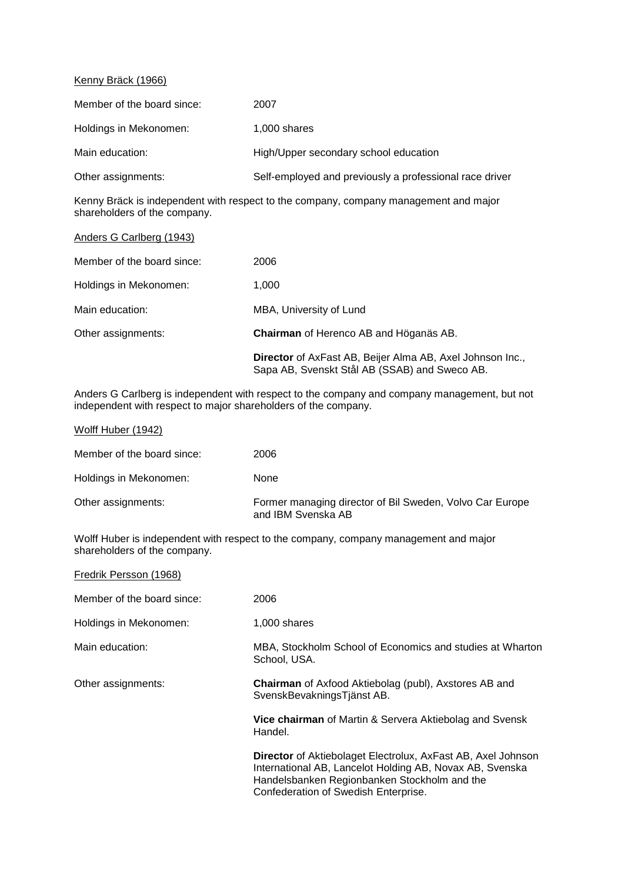## Kenny Bräck (1966)

| Member of the board since: | 2007                                                    |
|----------------------------|---------------------------------------------------------|
| Holdings in Mekonomen:     | 1,000 shares                                            |
| Main education:            | High/Upper secondary school education                   |
| Other assignments:         | Self-employed and previously a professional race driver |

Kenny Bräck is independent with respect to the company, company management and major shareholders of the company.

| Anders G Carlberg (1943)   |                                                                                                            |
|----------------------------|------------------------------------------------------------------------------------------------------------|
| Member of the board since: | 2006                                                                                                       |
| Holdings in Mekonomen:     | 1,000                                                                                                      |
| Main education:            | MBA, University of Lund                                                                                    |
| Other assignments:         | <b>Chairman</b> of Herenco AB and Höganäs AB.                                                              |
|                            | Director of AxFast AB, Beijer Alma AB, Axel Johnson Inc.,<br>Sapa AB, Svenskt Stål AB (SSAB) and Sweco AB. |

Anders G Carlberg is independent with respect to the company and company management, but not independent with respect to major shareholders of the company.

| Wolff Huber (1942)         |                                                                                |
|----------------------------|--------------------------------------------------------------------------------|
| Member of the board since: | 2006                                                                           |
| Holdings in Mekonomen:     | None                                                                           |
| Other assignments:         | Former managing director of Bil Sweden, Volvo Car Europe<br>and IBM Svenska AB |

Wolff Huber is independent with respect to the company, company management and major shareholders of the company.

| Fredrik Persson (1968)     |                                                                                                                                                                                                                         |
|----------------------------|-------------------------------------------------------------------------------------------------------------------------------------------------------------------------------------------------------------------------|
| Member of the board since: | 2006                                                                                                                                                                                                                    |
| Holdings in Mekonomen:     | 1,000 shares                                                                                                                                                                                                            |
| Main education:            | MBA, Stockholm School of Economics and studies at Wharton<br>School, USA.                                                                                                                                               |
| Other assignments:         | <b>Chairman</b> of Axfood Aktiebolag (publ), Axstores AB and<br>SvenskBevakningsTjänst AB.                                                                                                                              |
|                            | Vice chairman of Martin & Servera Aktiebolag and Svensk<br>Handel.                                                                                                                                                      |
|                            | <b>Director</b> of Aktiebolaget Electrolux, AxFast AB, Axel Johnson<br>International AB, Lancelot Holding AB, Novax AB, Svenska<br>Handelsbanken Regionbanken Stockholm and the<br>Confederation of Swedish Enterprise. |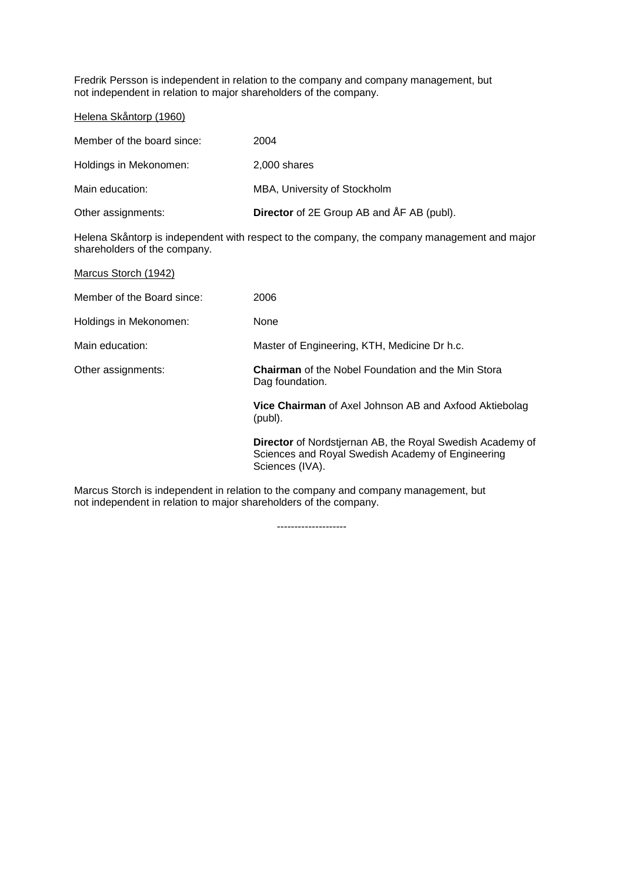Fredrik Persson is independent in relation to the company and company management, but not independent in relation to major shareholders of the company.

Helena Skåntorp (1960)

| Member of the board since: | 2004                                             |
|----------------------------|--------------------------------------------------|
| Holdings in Mekonomen:     | 2,000 shares                                     |
| Main education:            | MBA, University of Stockholm                     |
| Other assignments:         | <b>Director</b> of 2E Group AB and ÅF AB (publ). |

Helena Skåntorp is independent with respect to the company, the company management and major shareholders of the company.

| 2006                                                                                                                                     |
|------------------------------------------------------------------------------------------------------------------------------------------|
| <b>None</b>                                                                                                                              |
| Master of Engineering, KTH, Medicine Dr h.c.                                                                                             |
| <b>Chairman</b> of the Nobel Foundation and the Min Stora<br>Dag foundation.                                                             |
| <b>Vice Chairman</b> of Axel Johnson AB and Axfood Aktiebolag<br>(publ).                                                                 |
| <b>Director</b> of Nordstjernan AB, the Royal Swedish Academy of<br>Sciences and Royal Swedish Academy of Engineering<br>Sciences (IVA). |
|                                                                                                                                          |

Marcus Storch is independent in relation to the company and company management, but not independent in relation to major shareholders of the company.

--------------------